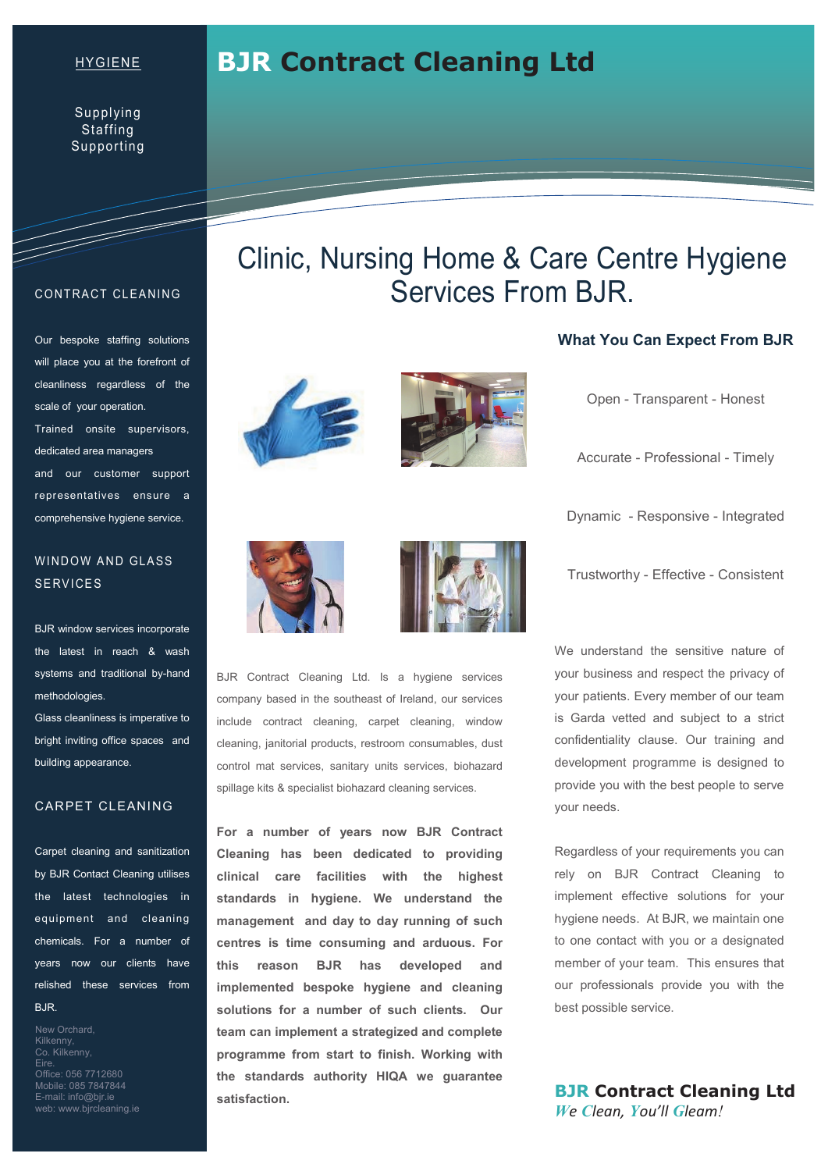## HYGIENE

# **BJR Contract Cleaning Ltd**

## **CONTRACT CLEANING**

T

Our bespoke staffing solutions will place you at the forefront of cleanliness regardless of the scale of your operation. Trained onsite supervisors, dedicated area managers and our customer support representatives ensure a comprehensive hygiene service.

# WINDOW AND GLASS **SERVICES**

BJR window services incorporate the latest in reach & wash systems and traditional by-hand methodologies.

Glass cleanliness is imperative to bright inviting office spaces and building appearance.

#### CARPET CLEANING

Carpet cleaning and sanitization by BJR Contact Cleaning utilises the latest technologies in equipment and cleaning chemicals. For a number of years now our clients have relished these services from BJR.

New Orchard, Kilkenny, Co. Kilkenny, Eire. Office: 056 7712680 Mobile: 085 7847844 E-mail: info@bjr.ie web: www.bjrcleaning.ie

# Clinic, Nursing Home & Care Centre Hygiene Services From BJR.





### **What You Can Expect From BJR**

Open - Transparent - Honest

Accurate - Professional - Timely

Dynamic - Responsive - Integrated

Trustworthy - Effective - Consistent

BJR Contract Cleaning Ltd. Is a hygiene services company based in the southeast of Ireland, our services include contract cleaning, carpet cleaning, window cleaning, janitorial products, restroom consumables, dust control mat services, sanitary units services, biohazard spillage kits & specialist biohazard cleaning services.

**For a number of years now BJR Contract Cleaning has been dedicated to providing clinical care facilities with the highest standards in hygiene. We understand the management and day to day running of such centres is time consuming and arduous. For this reason BJR has developed and implemented bespoke hygiene and cleaning solutions for a number of such clients. Our team can implement a strategized and complete programme from start to finish. Working with the standards authority HIQA we guarantee satisfaction.** 

We understand the sensitive nature of your business and respect the privacy of your patients. Every member of our team is Garda vetted and subject to a strict confidentiality clause. Our training and development programme is designed to provide you with the best people to serve your needs.

Regardless of your requirements you can rely on BJR Contract Cleaning to implement effective solutions for your hygiene needs. At BJR, we maintain one to one contact with you or a designated member of your team. This ensures that our professionals provide you with the best possible service.

**BJR Contract Cleaning Ltd**  *We Clean, You'll Gleam!*